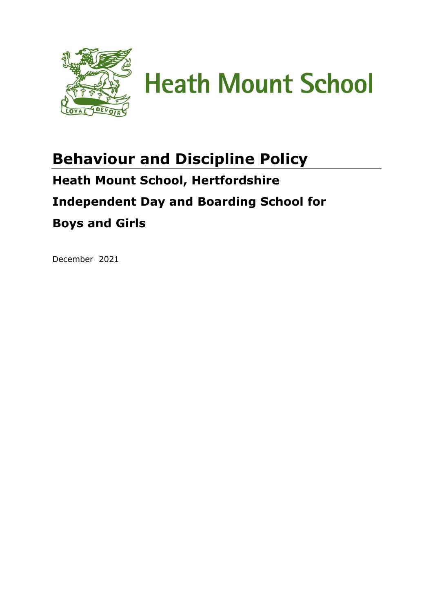

**Heath Mount School** 

# **Behaviour and Discipline Policy Heath Mount School, Hertfordshire**

# **Independent Day and Boarding School for**

# **Boys and Girls**

December 2021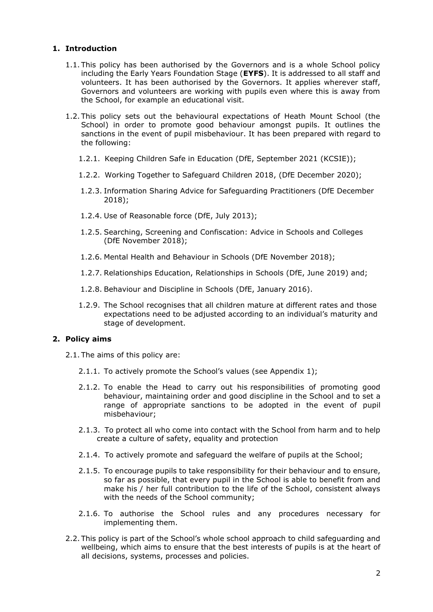# **1. Introduction**

- 1.1. This policy has been authorised by the Governors and is a whole School policy including the Early Years Foundation Stage (**EYFS**). It is addressed to all staff and volunteers. It has been authorised by the Governors. It applies wherever staff, Governors and volunteers are working with pupils even where this is away from the School, for example an educational visit.
- 1.2. This policy sets out the behavioural expectations of Heath Mount School (the School) in order to promote good behaviour amongst pupils. It outlines the sanctions in the event of pupil misbehaviour. It has been prepared with regard to the following:
	- 1.2.1. Keeping Children Safe in Education (DfE, September 2021 (KCSIE));
	- 1.2.2. Working Together to Safeguard Children 2018, (DfE December 2020);
	- 1.2.3. Information Sharing Advice for Safeguarding Practitioners (DfE December 2018);
	- 1.2.4. Use of Reasonable force (DfE, July 2013);
	- 1.2.5. Searching, Screening and Confiscation: Advice in Schools and Colleges (DfE November 2018);
	- 1.2.6. Mental Health and Behaviour in Schools (DfE November 2018);
	- 1.2.7. Relationships Education, Relationships in Schools (DfE, June 2019) and;
	- 1.2.8. Behaviour and Discipline in Schools (DfE, January 2016).
	- 1.2.9. The School recognises that all children mature at different rates and those expectations need to be adjusted according to an individual's maturity and stage of development.

#### **2. Policy aims**

- 2.1. The aims of this policy are:
	- 2.1.1. To actively promote the School's values (see Appendix 1);
	- 2.1.2. To enable the Head to carry out his responsibilities of promoting good behaviour, maintaining order and good discipline in the School and to set a range of appropriate sanctions to be adopted in the event of pupil misbehaviour;
	- 2.1.3. To protect all who come into contact with the School from harm and to help create a culture of safety, equality and protection
	- 2.1.4. To actively promote and safeguard the welfare of pupils at the School;
	- 2.1.5. To encourage pupils to take responsibility for their behaviour and to ensure, so far as possible, that every pupil in the School is able to benefit from and make his / her full contribution to the life of the School, consistent always with the needs of the School community;
	- 2.1.6. To authorise the School rules and any procedures necessary for implementing them.
- 2.2. This policy is part of the School's whole school approach to child safeguarding and wellbeing, which aims to ensure that the best interests of pupils is at the heart of all decisions, systems, processes and policies.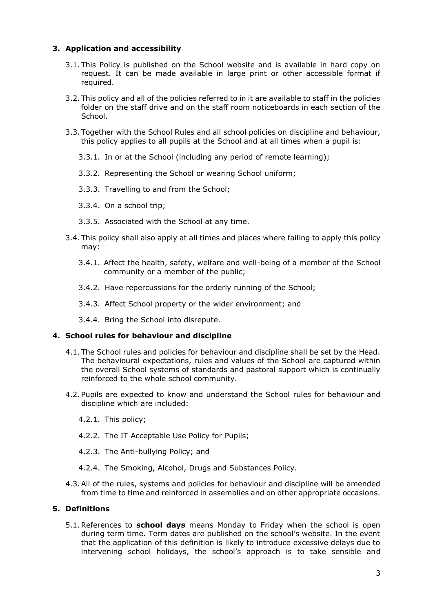# **3. Application and accessibility**

- 3.1. This Policy is published on the School website and is available in hard copy on request. It can be made available in large print or other accessible format if required.
- 3.2. This policy and all of the policies referred to in it are available to staff in the policies folder on the staff drive and on the staff room noticeboards in each section of the School.
- 3.3. Together with the School Rules and all school policies on discipline and behaviour, this policy applies to all pupils at the School and at all times when a pupil is:
	- 3.3.1. In or at the School (including any period of remote learning);
	- 3.3.2. Representing the School or wearing School uniform;
	- 3.3.3. Travelling to and from the School;
	- 3.3.4. On a school trip;
	- 3.3.5. Associated with the School at any time.
- 3.4. This policy shall also apply at all times and places where failing to apply this policy may:
	- 3.4.1. Affect the health, safety, welfare and well-being of a member of the School community or a member of the public;
	- 3.4.2. Have repercussions for the orderly running of the School;
	- 3.4.3. Affect School property or the wider environment; and
	- 3.4.4. Bring the School into disrepute.

# **4. School rules for behaviour and discipline**

- 4.1. The School rules and policies for behaviour and discipline shall be set by the Head. The behavioural expectations, rules and values of the School are captured within the overall School systems of standards and pastoral support which is continually reinforced to the whole school community.
- 4.2. Pupils are expected to know and understand the School rules for behaviour and discipline which are included:
	- 4.2.1. This policy;
	- 4.2.2. The IT Acceptable Use Policy for Pupils;
	- 4.2.3. The Anti-bullying Policy; and
	- 4.2.4. The Smoking, Alcohol, Drugs and Substances Policy.
- 4.3.All of the rules, systems and policies for behaviour and discipline will be amended from time to time and reinforced in assemblies and on other appropriate occasions.

# **5. Definitions**

5.1.References to **school days** means Monday to Friday when the school is open during term time. Term dates are published on the school's website. In the event that the application of this definition is likely to introduce excessive delays due to intervening school holidays, the school's approach is to take sensible and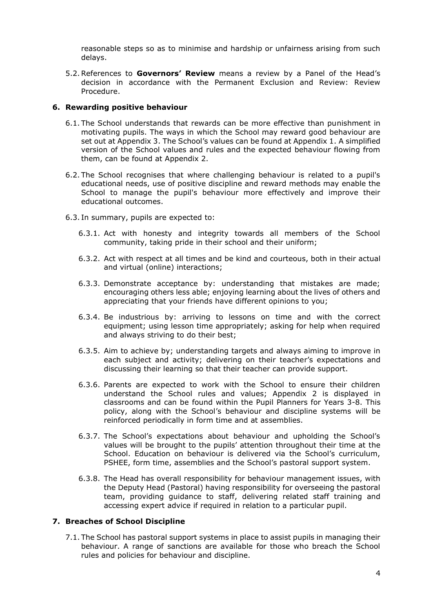reasonable steps so as to minimise and hardship or unfairness arising from such delays.

5.2.References to **Governors' Review** means a review by a Panel of the Head's decision in accordance with the Permanent Exclusion and Review: Review Procedure.

#### **6. Rewarding positive behaviour**

- 6.1. The School understands that rewards can be more effective than punishment in motivating pupils. The ways in which the School may reward good behaviour are set out at Appendix 3. The School's values can be found at Appendix 1. A simplified version of the School values and rules and the expected behaviour flowing from them, can be found at Appendix 2.
- 6.2. The School recognises that where challenging behaviour is related to a pupil's educational needs, use of positive discipline and reward methods may enable the School to manage the pupil's behaviour more effectively and improve their educational outcomes.
- 6.3. In summary, pupils are expected to:
	- 6.3.1. Act with honesty and integrity towards all members of the School community, taking pride in their school and their uniform;
	- 6.3.2. Act with respect at all times and be kind and courteous, both in their actual and virtual (online) interactions;
	- 6.3.3. Demonstrate acceptance by: understanding that mistakes are made; encouraging others less able; enjoying learning about the lives of others and appreciating that your friends have different opinions to you;
	- 6.3.4. Be industrious by: arriving to lessons on time and with the correct equipment; using lesson time appropriately; asking for help when required and always striving to do their best;
	- 6.3.5. Aim to achieve by; understanding targets and always aiming to improve in each subject and activity; delivering on their teacher's expectations and discussing their learning so that their teacher can provide support.
	- 6.3.6. Parents are expected to work with the School to ensure their children understand the School rules and values; Appendix 2 is displayed in classrooms and can be found within the Pupil Planners for Years 3-8. This policy, along with the School's behaviour and discipline systems will be reinforced periodically in form time and at assemblies.
	- 6.3.7. The School's expectations about behaviour and upholding the School's values will be brought to the pupils' attention throughout their time at the School. Education on behaviour is delivered via the School's curriculum, PSHEE, form time, assemblies and the School's pastoral support system.
	- 6.3.8. The Head has overall responsibility for behaviour management issues, with the Deputy Head (Pastoral) having responsibility for overseeing the pastoral team, providing guidance to staff, delivering related staff training and accessing expert advice if required in relation to a particular pupil.

# **7. Breaches of School Discipline**

7.1. The School has pastoral support systems in place to assist pupils in managing their behaviour. A range of sanctions are available for those who breach the School rules and policies for behaviour and discipline.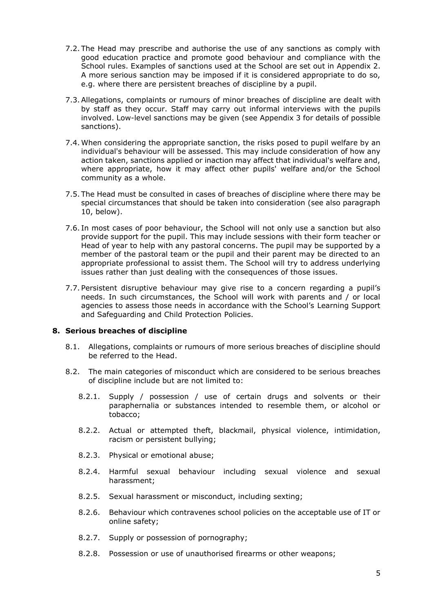- 7.2. The Head may prescribe and authorise the use of any sanctions as comply with good education practice and promote good behaviour and compliance with the School rules. Examples of sanctions used at the School are set out in Appendix 2. A more serious sanction may be imposed if it is considered appropriate to do so, e.g. where there are persistent breaches of discipline by a pupil.
- 7.3.Allegations, complaints or rumours of minor breaches of discipline are dealt with by staff as they occur. Staff may carry out informal interviews with the pupils involved. Low-level sanctions may be given (see Appendix 3 for details of possible sanctions).
- 7.4. When considering the appropriate sanction, the risks posed to pupil welfare by an individual's behaviour will be assessed. This may include consideration of how any action taken, sanctions applied or inaction may affect that individual's welfare and, where appropriate, how it may affect other pupils' welfare and/or the School community as a whole.
- 7.5. The Head must be consulted in cases of breaches of discipline where there may be special circumstances that should be taken into consideration (see also paragraph 10, below).
- 7.6. In most cases of poor behaviour, the School will not only use a sanction but also provide support for the pupil. This may include sessions with their form teacher or Head of year to help with any pastoral concerns. The pupil may be supported by a member of the pastoral team or the pupil and their parent may be directed to an appropriate professional to assist them. The School will try to address underlying issues rather than just dealing with the consequences of those issues.
- 7.7. Persistent disruptive behaviour may give rise to a concern regarding a pupil's needs. In such circumstances, the School will work with parents and / or local agencies to assess those needs in accordance with the School's Learning Support and Safeguarding and Child Protection Policies.

#### **8. Serious breaches of discipline**

- 8.1. Allegations, complaints or rumours of more serious breaches of discipline should be referred to the Head.
- 8.2. The main categories of misconduct which are considered to be serious breaches of discipline include but are not limited to:
	- 8.2.1. Supply / possession / use of certain drugs and solvents or their paraphernalia or substances intended to resemble them, or alcohol or tobacco;
	- 8.2.2. Actual or attempted theft, blackmail, physical violence, intimidation, racism or persistent bullying;
	- 8.2.3. Physical or emotional abuse;
	- 8.2.4. Harmful sexual behaviour including sexual violence and sexual harassment;
	- 8.2.5. Sexual harassment or misconduct, including sexting;
	- 8.2.6. Behaviour which contravenes school policies on the acceptable use of IT or online safety;
	- 8.2.7. Supply or possession of pornography;
	- 8.2.8. Possession or use of unauthorised firearms or other weapons;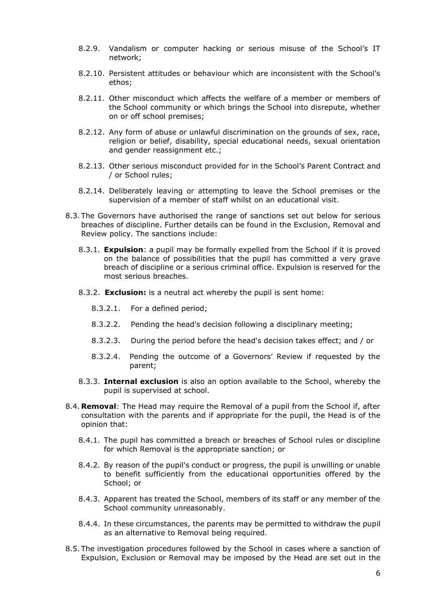- 8.2.9. Vandalism or computer hacking or serious misuse of the School's IT network;
- 8.2.10. Persistent attitudes or behaviour which are inconsistent with the School's ethos;
- 8.2.11. Other misconduct which affects the welfare of a member or members of the School community or which brings the School into disrepute, whether on or off school premises;
- 8.2.12. Any form of abuse or unlawful discrimination on the grounds of sex, race, religion or belief, disability, special educational needs, sexual orientation and gender reassignment etc.;
- 8.2.13. Other serious misconduct provided for in the School's Parent Contract and / or School rules;
- 8.2.14. Deliberately leaving or attempting to leave the School premises or the supervision of a member of staff whilst on an educational visit.
- 8.3. The Governors have authorised the range of sanctions set out below for serious breaches of discipline. Further details can be found in the Exclusion, Removal and Review policy. The sanctions include:
	- 8.3.1. **Expulsion**: a pupil may be formally expelled from the School if it is proved on the balance of possibilities that the pupil has committed a very grave breach of discipline or a serious criminal office. Expulsion is reserved for the most serious breaches.
	- 8.3.2. **Exclusion:** is a neutral act whereby the pupil is sent home:
		- 8.3.2.1. For a defined period;
		- 8.3.2.2. Pending the head's decision following a disciplinary meeting;
		- 8.3.2.3. During the period before the head's decision takes effect; and / or
		- 8.3.2.4. Pending the outcome of a Governors' Review if requested by the parent;
	- 8.3.3. **Internal exclusion** is also an option available to the School, whereby the pupil is supervised at school.
- 8.4. **Removal**: The Head may require the Removal of a pupil from the School if, after consultation with the parents and if appropriate for the pupil, the Head is of the opinion that:
	- 8.4.1. The pupil has committed a breach or breaches of School rules or discipline for which Removal is the appropriate sanction; or
	- 8.4.2. By reason of the pupil's conduct or progress, the pupil is unwilling or unable to benefit sufficiently from the educational opportunities offered by the School; or
	- 8.4.3. Apparent has treated the School, members of its staff or any member of the School community unreasonably.
	- 8.4.4. In these circumstances, the parents may be permitted to withdraw the pupil as an alternative to Removal being required.
- 8.5. The investigation procedures followed by the School in cases where a sanction of Expulsion, Exclusion or Removal may be imposed by the Head are set out in the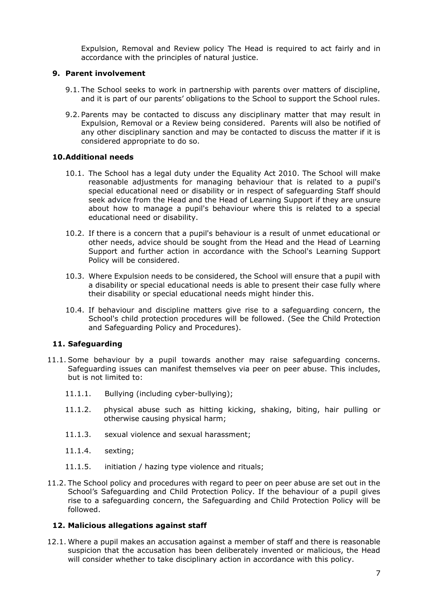Expulsion, Removal and Review policy The Head is required to act fairly and in accordance with the principles of natural justice.

#### **9. Parent involvement**

- 9.1. The School seeks to work in partnership with parents over matters of discipline, and it is part of our parents' obligations to the School to support the School rules.
- 9.2. Parents may be contacted to discuss any disciplinary matter that may result in Expulsion, Removal or a Review being considered. Parents will also be notified of any other disciplinary sanction and may be contacted to discuss the matter if it is considered appropriate to do so.

# **10.Additional needs**

- 10.1. The School has a legal duty under the Equality Act 2010. The School will make reasonable adjustments for managing behaviour that is related to a pupil's special educational need or disability or in respect of safeguarding Staff should seek advice from the Head and the Head of Learning Support if they are unsure about how to manage a pupil's behaviour where this is related to a special educational need or disability.
- 10.2. If there is a concern that a pupil's behaviour is a result of unmet educational or other needs, advice should be sought from the Head and the Head of Learning Support and further action in accordance with the School's Learning Support Policy will be considered.
- 10.3. Where Expulsion needs to be considered, the School will ensure that a pupil with a disability or special educational needs is able to present their case fully where their disability or special educational needs might hinder this.
- 10.4. If behaviour and discipline matters give rise to a safeguarding concern, the School's child protection procedures will be followed. (See the Child Protection and Safeguarding Policy and Procedures).

# **11. Safeguarding**

- 11.1. Some behaviour by a pupil towards another may raise safeguarding concerns. Safeguarding issues can manifest themselves via peer on peer abuse. This includes, but is not limited to:
	- 11.1.1. Bullying (including cyber-bullying);
	- 11.1.2. physical abuse such as hitting kicking, shaking, biting, hair pulling or otherwise causing physical harm;
	- 11.1.3. sexual violence and sexual harassment;
	- 11.1.4. sexting;
	- 11.1.5. initiation / hazing type violence and rituals;
- 11.2. The School policy and procedures with regard to peer on peer abuse are set out in the School's Safeguarding and Child Protection Policy. If the behaviour of a pupil gives rise to a safeguarding concern, the Safeguarding and Child Protection Policy will be followed.

# **12. Malicious allegations against staff**

12.1. Where a pupil makes an accusation against a member of staff and there is reasonable suspicion that the accusation has been deliberately invented or malicious, the Head will consider whether to take disciplinary action in accordance with this policy.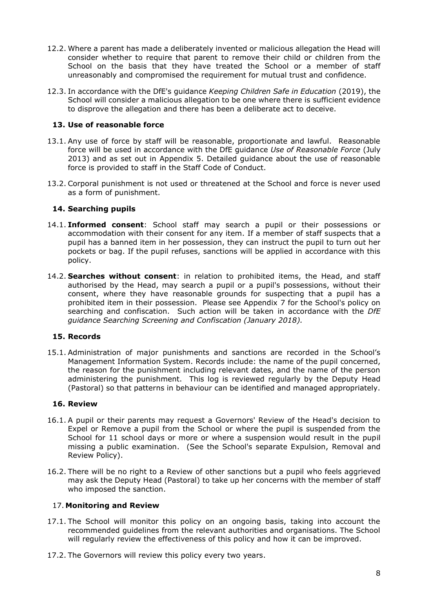- 12.2. Where a parent has made a deliberately invented or malicious allegation the Head will consider whether to require that parent to remove their child or children from the School on the basis that they have treated the School or a member of staff unreasonably and compromised the requirement for mutual trust and confidence.
- 12.3. In accordance with the DfE's guidance *Keeping Children Safe in Education* (2019), the School will consider a malicious allegation to be one where there is sufficient evidence to disprove the allegation and there has been a deliberate act to deceive.

# **13. Use of reasonable force**

- 13.1. Any use of force by staff will be reasonable, proportionate and lawful. Reasonable force will be used in accordance with the DfE guidance *Use of Reasonable Force* (July 2013) and as set out in Appendix 5. Detailed guidance about the use of reasonable force is provided to staff in the Staff Code of Conduct.
- 13.2. Corporal punishment is not used or threatened at the School and force is never used as a form of punishment.

#### **14. Searching pupils**

- 14.1. **Informed consent**: School staff may search a pupil or their possessions or accommodation with their consent for any item. If a member of staff suspects that a pupil has a banned item in her possession, they can instruct the pupil to turn out her pockets or bag. If the pupil refuses, sanctions will be applied in accordance with this policy.
- 14.2. **Searches without consent**: in relation to prohibited items, the Head, and staff authorised by the Head, may search a pupil or a pupil's possessions, without their consent, where they have reasonable grounds for suspecting that a pupil has a prohibited item in their possession. Please see Appendix 7 for the School's policy on searching and confiscation. Such action will be taken in accordance with the *DfE guidance Searching Screening and Confiscation (January 2018).*

#### **15. Records**

15.1. Administration of major punishments and sanctions are recorded in the School's Management Information System. Records include: the name of the pupil concerned, the reason for the punishment including relevant dates, and the name of the person administering the punishment. This log is reviewed regularly by the Deputy Head (Pastoral) so that patterns in behaviour can be identified and managed appropriately.

#### **16. Review**

- 16.1. A pupil or their parents may request a Governors' Review of the Head's decision to Expel or Remove a pupil from the School or where the pupil is suspended from the School for 11 school days or more or where a suspension would result in the pupil missing a public examination. (See the School's separate Expulsion, Removal and Review Policy).
- 16.2. There will be no right to a Review of other sanctions but a pupil who feels aggrieved may ask the Deputy Head (Pastoral) to take up her concerns with the member of staff who imposed the sanction.

#### 17. **Monitoring and Review**

- 17.1. The School will monitor this policy on an ongoing basis, taking into account the recommended guidelines from the relevant authorities and organisations. The School will regularly review the effectiveness of this policy and how it can be improved.
- 17.2. The Governors will review this policy every two years.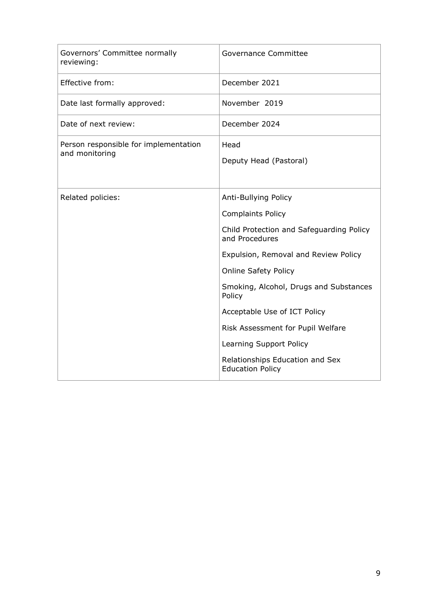| Governors' Committee normally<br>reviewing:             | Governance Committee                                                                                                                                                                                                                                                                                                                                                                                    |
|---------------------------------------------------------|---------------------------------------------------------------------------------------------------------------------------------------------------------------------------------------------------------------------------------------------------------------------------------------------------------------------------------------------------------------------------------------------------------|
| Effective from:                                         | December 2021                                                                                                                                                                                                                                                                                                                                                                                           |
| Date last formally approved:                            | November 2019                                                                                                                                                                                                                                                                                                                                                                                           |
| Date of next review:                                    | December 2024                                                                                                                                                                                                                                                                                                                                                                                           |
| Person responsible for implementation<br>and monitoring | Head<br>Deputy Head (Pastoral)                                                                                                                                                                                                                                                                                                                                                                          |
| Related policies:                                       | Anti-Bullying Policy<br><b>Complaints Policy</b><br>Child Protection and Safeguarding Policy<br>and Procedures<br>Expulsion, Removal and Review Policy<br><b>Online Safety Policy</b><br>Smoking, Alcohol, Drugs and Substances<br>Policy<br>Acceptable Use of ICT Policy<br>Risk Assessment for Pupil Welfare<br>Learning Support Policy<br>Relationships Education and Sex<br><b>Education Policy</b> |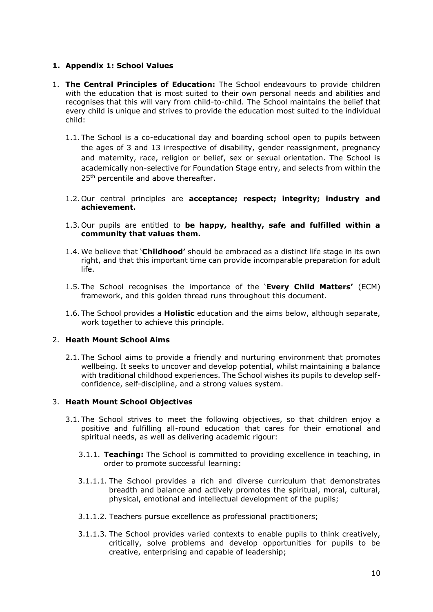# **1. Appendix 1: School Values**

- 1. **The Central Principles of Education:** The School endeavours to provide children with the education that is most suited to their own personal needs and abilities and recognises that this will vary from child-to-child. The School maintains the belief that every child is unique and strives to provide the education most suited to the individual child:
	- 1.1. The School is a co-educational day and boarding school open to pupils between the ages of 3 and 13 irrespective of disability, gender reassignment, pregnancy and maternity, race, religion or belief, sex or sexual orientation. The School is academically non-selective for Foundation Stage entry, and selects from within the 25<sup>th</sup> percentile and above thereafter.
	- 1.2. Our central principles are **acceptance; respect; integrity; industry and achievement.**
	- 1.3. Our pupils are entitled to **be happy, healthy, safe and fulfilled within a community that values them.**
	- 1.4. We believe that '**Childhood'** should be embraced as a distinct life stage in its own right, and that this important time can provide incomparable preparation for adult life.
	- 1.5. The School recognises the importance of the '**Every Child Matters'** (ECM) framework, and this golden thread runs throughout this document.
	- 1.6. The School provides a **Holistic** education and the aims below, although separate, work together to achieve this principle.

#### 2. **Heath Mount School Aims**

2.1. The School aims to provide a friendly and nurturing environment that promotes wellbeing. It seeks to uncover and develop potential, whilst maintaining a balance with traditional childhood experiences. The School wishes its pupils to develop selfconfidence, self-discipline, and a strong values system.

#### 3. **Heath Mount School Objectives**

- 3.1. The School strives to meet the following objectives, so that children enjoy a positive and fulfilling all-round education that cares for their emotional and spiritual needs, as well as delivering academic rigour:
	- 3.1.1. **Teaching:** The School is committed to providing excellence in teaching, in order to promote successful learning:
	- 3.1.1.1. The School provides a rich and diverse curriculum that demonstrates breadth and balance and actively promotes the spiritual, moral, cultural, physical, emotional and intellectual development of the pupils;
	- 3.1.1.2. Teachers pursue excellence as professional practitioners;
	- 3.1.1.3. The School provides varied contexts to enable pupils to think creatively, critically, solve problems and develop opportunities for pupils to be creative, enterprising and capable of leadership;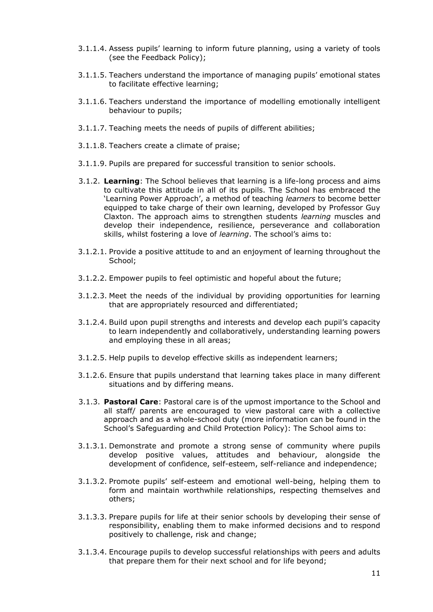- 3.1.1.4. Assess pupils' learning to inform future planning, using a variety of tools (see the Feedback Policy);
- 3.1.1.5. Teachers understand the importance of managing pupils' emotional states to facilitate effective learning;
- 3.1.1.6. Teachers understand the importance of modelling emotionally intelligent behaviour to pupils;
- 3.1.1.7. Teaching meets the needs of pupils of different abilities;
- 3.1.1.8. Teachers create a climate of praise;
- 3.1.1.9. Pupils are prepared for successful transition to senior schools.
- 3.1.2. **Learning**: The School believes that learning is a life-long process and aims to cultivate this attitude in all of its pupils. The School has embraced the 'Learning Power Approach', a method of teaching *learners* to become better equipped to take charge of their own learning, developed by Professor Guy Claxton. The approach aims to strengthen students *learning* muscles and develop their independence, resilience, perseverance and collaboration skills, whilst fostering a love of *learning*. The school's aims to:
- 3.1.2.1. Provide a positive attitude to and an enjoyment of learning throughout the School;
- 3.1.2.2. Empower pupils to feel optimistic and hopeful about the future;
- 3.1.2.3. Meet the needs of the individual by providing opportunities for learning that are appropriately resourced and differentiated;
- 3.1.2.4. Build upon pupil strengths and interests and develop each pupil's capacity to learn independently and collaboratively, understanding learning powers and employing these in all areas;
- 3.1.2.5. Help pupils to develop effective skills as independent learners;
- 3.1.2.6. Ensure that pupils understand that learning takes place in many different situations and by differing means.
- 3.1.3. **Pastoral Care**: Pastoral care is of the upmost importance to the School and all staff/ parents are encouraged to view pastoral care with a collective approach and as a whole-school duty (more information can be found in the School's Safeguarding and Child Protection Policy): The School aims to:
- 3.1.3.1. Demonstrate and promote a strong sense of community where pupils develop positive values, attitudes and behaviour, alongside the development of confidence, self-esteem, self-reliance and independence;
- 3.1.3.2. Promote pupils' self-esteem and emotional well-being, helping them to form and maintain worthwhile relationships, respecting themselves and others;
- 3.1.3.3. Prepare pupils for life at their senior schools by developing their sense of responsibility, enabling them to make informed decisions and to respond positively to challenge, risk and change;
- 3.1.3.4. Encourage pupils to develop successful relationships with peers and adults that prepare them for their next school and for life beyond;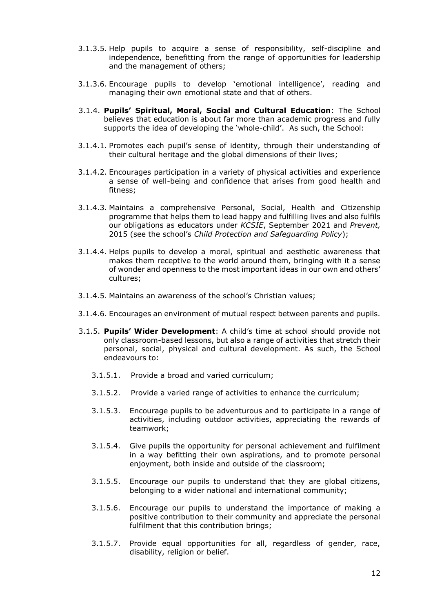- 3.1.3.5. Help pupils to acquire a sense of responsibility, self-discipline and independence, benefitting from the range of opportunities for leadership and the management of others;
- 3.1.3.6. Encourage pupils to develop 'emotional intelligence', reading and managing their own emotional state and that of others.
- 3.1.4. **Pupils' Spiritual, Moral, Social and Cultural Education**: The School believes that education is about far more than academic progress and fully supports the idea of developing the 'whole-child'. As such, the School:
- 3.1.4.1. Promotes each pupil's sense of identity, through their understanding of their cultural heritage and the global dimensions of their lives;
- 3.1.4.2. Encourages participation in a variety of physical activities and experience a sense of well-being and confidence that arises from good health and fitness;
- 3.1.4.3. Maintains a comprehensive Personal, Social, Health and Citizenship programme that helps them to lead happy and fulfilling lives and also fulfils our obligations as educators under *KCSIE*, September 2021 and *Prevent,* 2015 (see the school's *Child Protection and Safeguarding Policy*);
- 3.1.4.4. Helps pupils to develop a moral, spiritual and aesthetic awareness that makes them receptive to the world around them, bringing with it a sense of wonder and openness to the most important ideas in our own and others' cultures;
- 3.1.4.5. Maintains an awareness of the school's Christian values;
- 3.1.4.6. Encourages an environment of mutual respect between parents and pupils.
- 3.1.5. **Pupils' Wider Development**: A child's time at school should provide not only classroom-based lessons, but also a range of activities that stretch their personal, social, physical and cultural development. As such, the School endeavours to:
	- 3.1.5.1. Provide a broad and varied curriculum;
	- 3.1.5.2. Provide a varied range of activities to enhance the curriculum;
	- 3.1.5.3. Encourage pupils to be adventurous and to participate in a range of activities, including outdoor activities, appreciating the rewards of teamwork;
	- 3.1.5.4. Give pupils the opportunity for personal achievement and fulfilment in a way befitting their own aspirations, and to promote personal enjoyment, both inside and outside of the classroom;
	- 3.1.5.5. Encourage our pupils to understand that they are global citizens, belonging to a wider national and international community;
	- 3.1.5.6. Encourage our pupils to understand the importance of making a positive contribution to their community and appreciate the personal fulfilment that this contribution brings;
	- 3.1.5.7. Provide equal opportunities for all, regardless of gender, race, disability, religion or belief.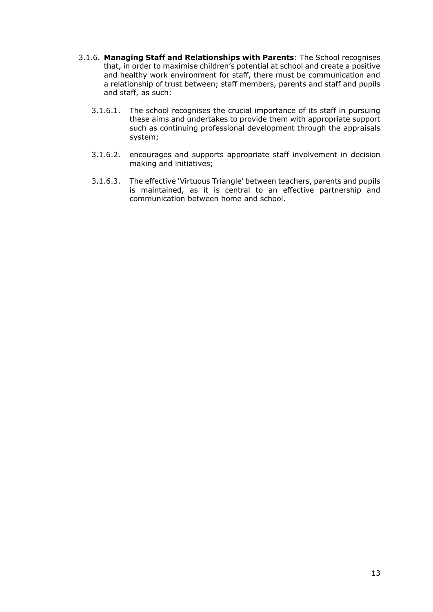- 3.1.6. **Managing Staff and Relationships with Parents**: The School recognises that, in order to maximise children's potential at school and create a positive and healthy work environment for staff, there must be communication and a relationship of trust between; staff members, parents and staff and pupils and staff, as such:
	- 3.1.6.1. The school recognises the crucial importance of its staff in pursuing these aims and undertakes to provide them with appropriate support such as continuing professional development through the appraisals system;
	- 3.1.6.2. encourages and supports appropriate staff involvement in decision making and initiatives;
	- 3.1.6.3. The effective 'Virtuous Triangle' between teachers, parents and pupils is maintained, as it is central to an effective partnership and communication between home and school.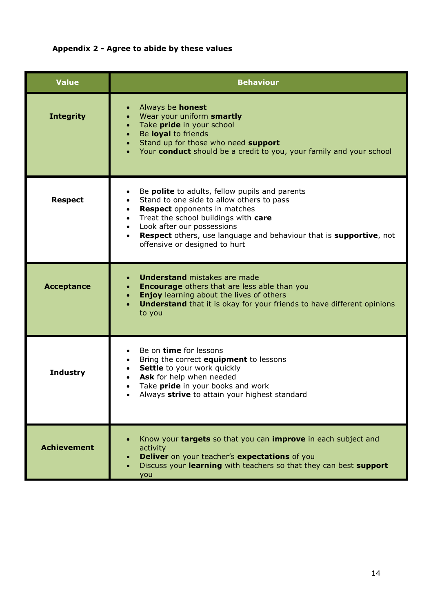# **Appendix 2 - Agree to abide by these values**

| <b>Value</b>       | <b>Behaviour</b>                                                                                                                                                                                                                                                                                                                                                           |
|--------------------|----------------------------------------------------------------------------------------------------------------------------------------------------------------------------------------------------------------------------------------------------------------------------------------------------------------------------------------------------------------------------|
| <b>Integrity</b>   | Always be <b>honest</b><br>Wear your uniform smartly<br>Take pride in your school<br>$\bullet$<br>Be loyal to friends<br>$\bullet$<br>Stand up for those who need support<br>Your conduct should be a credit to you, your family and your school                                                                                                                           |
| <b>Respect</b>     | Be polite to adults, fellow pupils and parents<br>Stand to one side to allow others to pass<br>$\bullet$<br><b>Respect</b> opponents in matches<br>$\bullet$<br>Treat the school buildings with care<br>$\bullet$<br>Look after our possessions<br>$\bullet$<br><b>Respect</b> others, use language and behaviour that is supportive, not<br>offensive or designed to hurt |
| <b>Acceptance</b>  | <b>Understand mistakes are made</b><br><b>Encourage</b> others that are less able than you<br>$\bullet$<br><b>Enjoy</b> learning about the lives of others<br>$\bullet$<br><b>Understand</b> that it is okay for your friends to have different opinions<br>to you                                                                                                         |
| <b>Industry</b>    | Be on time for lessons<br>Bring the correct equipment to lessons<br>Settle to your work quickly<br>Ask for help when needed<br>Take <b>pride</b> in your books and work<br>Always strive to attain your highest standard                                                                                                                                                   |
| <b>Achievement</b> | Know your targets so that you can improve in each subject and<br>activity<br>Deliver on your teacher's expectations of you<br>Discuss your learning with teachers so that they can best support<br>you                                                                                                                                                                     |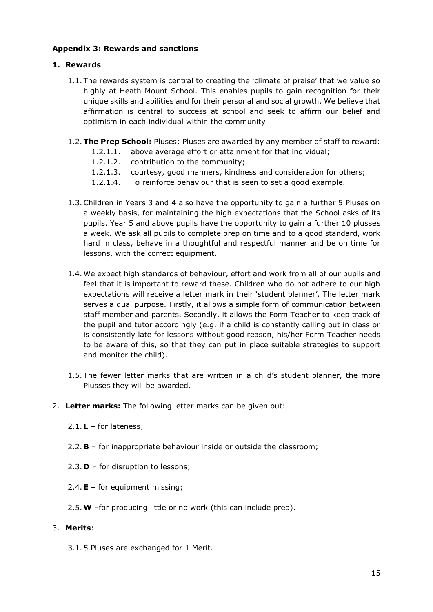# **Appendix 3: Rewards and sanctions**

# **1. Rewards**

- 1.1. The rewards system is central to creating the 'climate of praise' that we value so highly at Heath Mount School. This enables pupils to gain recognition for their unique skills and abilities and for their personal and social growth. We believe that affirmation is central to success at school and seek to affirm our belief and optimism in each individual within the community
- 1.2.**The Prep School:** Pluses: Pluses are awarded by any member of staff to reward:
	- 1.2.1.1. above average effort or attainment for that individual;
	- 1.2.1.2. contribution to the community;
	- 1.2.1.3. courtesy, good manners, kindness and consideration for others;
	- 1.2.1.4. To reinforce behaviour that is seen to set a good example.
- 1.3.Children in Years 3 and 4 also have the opportunity to gain a further 5 Pluses on a weekly basis, for maintaining the high expectations that the School asks of its pupils. Year 5 and above pupils have the opportunity to gain a further 10 plusses a week. We ask all pupils to complete prep on time and to a good standard, work hard in class, behave in a thoughtful and respectful manner and be on time for lessons, with the correct equipment.
- 1.4. We expect high standards of behaviour, effort and work from all of our pupils and feel that it is important to reward these. Children who do not adhere to our high expectations will receive a letter mark in their 'student planner'. The letter mark serves a dual purpose. Firstly, it allows a simple form of communication between staff member and parents. Secondly, it allows the Form Teacher to keep track of the pupil and tutor accordingly (e.g. if a child is constantly calling out in class or is consistently late for lessons without good reason, his/her Form Teacher needs to be aware of this, so that they can put in place suitable strategies to support and monitor the child).
- 1.5. The fewer letter marks that are written in a child's student planner, the more Plusses they will be awarded.
- 2. **Letter marks:** The following letter marks can be given out:
	- 2.1. **L** for lateness;
	- 2.2. **B** for inappropriate behaviour inside or outside the classroom;
	- 2.3. **D** for disruption to lessons;
	- 2.4.**E**  for equipment missing;
	- 2.5.**W** –for producing little or no work (this can include prep).

#### 3. **Merits**:

3.1. 5 Pluses are exchanged for 1 Merit.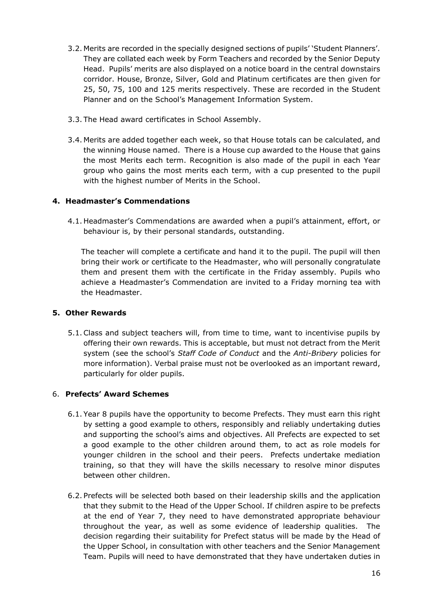- 3.2. Merits are recorded in the specially designed sections of pupils' 'Student Planners'. They are collated each week by Form Teachers and recorded by the Senior Deputy Head. Pupils' merits are also displayed on a notice board in the central downstairs corridor. House, Bronze, Silver, Gold and Platinum certificates are then given for 25, 50, 75, 100 and 125 merits respectively. These are recorded in the Student Planner and on the School's Management Information System.
- 3.3. The Head award certificates in School Assembly.
- 3.4. Merits are added together each week, so that House totals can be calculated, and the winning House named. There is a House cup awarded to the House that gains the most Merits each term. Recognition is also made of the pupil in each Year group who gains the most merits each term, with a cup presented to the pupil with the highest number of Merits in the School.

# **4. Headmaster's Commendations**

4.1. Headmaster's Commendations are awarded when a pupil's attainment, effort, or behaviour is, by their personal standards, outstanding.

The teacher will complete a certificate and hand it to the pupil. The pupil will then bring their work or certificate to the Headmaster, who will personally congratulate them and present them with the certificate in the Friday assembly. Pupils who achieve a Headmaster's Commendation are invited to a Friday morning tea with the Headmaster.

# **5. Other Rewards**

5.1.Class and subject teachers will, from time to time, want to incentivise pupils by offering their own rewards. This is acceptable, but must not detract from the Merit system (see the school's *Staff Code of Conduct* and the *Anti-Bribery* policies for more information). Verbal praise must not be overlooked as an important reward, particularly for older pupils.

# 6. **Prefects' Award Schemes**

- 6.1. Year 8 pupils have the opportunity to become Prefects. They must earn this right by setting a good example to others, responsibly and reliably undertaking duties and supporting the school's aims and objectives. All Prefects are expected to set a good example to the other children around them, to act as role models for younger children in the school and their peers. Prefects undertake mediation training, so that they will have the skills necessary to resolve minor disputes between other children.
- 6.2. Prefects will be selected both based on their leadership skills and the application that they submit to the Head of the Upper School. If children aspire to be prefects at the end of Year 7, they need to have demonstrated appropriate behaviour throughout the year, as well as some evidence of leadership qualities. The decision regarding their suitability for Prefect status will be made by the Head of the Upper School, in consultation with other teachers and the Senior Management Team. Pupils will need to have demonstrated that they have undertaken duties in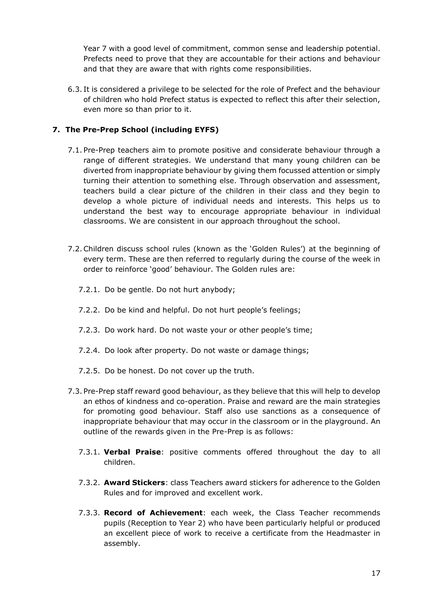Year 7 with a good level of commitment, common sense and leadership potential. Prefects need to prove that they are accountable for their actions and behaviour and that they are aware that with rights come responsibilities.

6.3. It is considered a privilege to be selected for the role of Prefect and the behaviour of children who hold Prefect status is expected to reflect this after their selection, even more so than prior to it.

# **7. The Pre-Prep School (including EYFS)**

- 7.1. Pre-Prep teachers aim to promote positive and considerate behaviour through a range of different strategies. We understand that many young children can be diverted from inappropriate behaviour by giving them focussed attention or simply turning their attention to something else. Through observation and assessment, teachers build a clear picture of the children in their class and they begin to develop a whole picture of individual needs and interests. This helps us to understand the best way to encourage appropriate behaviour in individual classrooms. We are consistent in our approach throughout the school.
- 7.2.Children discuss school rules (known as the 'Golden Rules') at the beginning of every term. These are then referred to regularly during the course of the week in order to reinforce 'good' behaviour. The Golden rules are:
	- 7.2.1. Do be gentle. Do not hurt anybody;
	- 7.2.2. Do be kind and helpful. Do not hurt people's feelings;
	- 7.2.3. Do work hard. Do not waste your or other people's time;
	- 7.2.4. Do look after property. Do not waste or damage things;
	- 7.2.5. Do be honest. Do not cover up the truth.
- 7.3. Pre-Prep staff reward good behaviour, as they believe that this will help to develop an ethos of kindness and co-operation. Praise and reward are the main strategies for promoting good behaviour. Staff also use sanctions as a consequence of inappropriate behaviour that may occur in the classroom or in the playground. An outline of the rewards given in the Pre-Prep is as follows:
	- 7.3.1. **Verbal Praise**: positive comments offered throughout the day to all children.
	- 7.3.2. **Award Stickers**: class Teachers award stickers for adherence to the Golden Rules and for improved and excellent work.
	- 7.3.3. **Record of Achievement**: each week, the Class Teacher recommends pupils (Reception to Year 2) who have been particularly helpful or produced an excellent piece of work to receive a certificate from the Headmaster in assembly.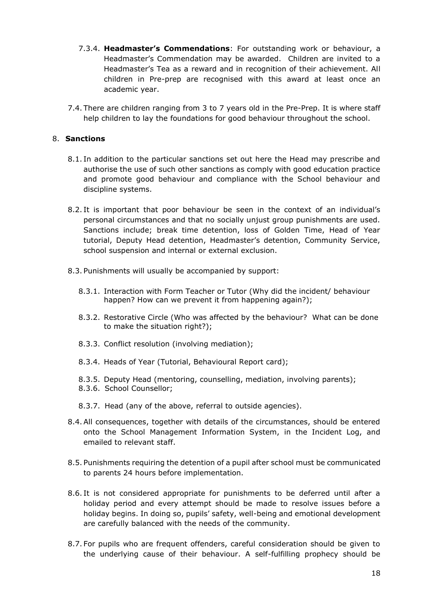- 7.3.4. **Headmaster's Commendations**: For outstanding work or behaviour, a Headmaster's Commendation may be awarded. Children are invited to a Headmaster's Tea as a reward and in recognition of their achievement. All children in Pre-prep are recognised with this award at least once an academic year.
- 7.4. There are children ranging from 3 to 7 years old in the Pre-Prep. It is where staff help children to lay the foundations for good behaviour throughout the school.

#### 8. **Sanctions**

- 8.1. In addition to the particular sanctions set out here the Head may prescribe and authorise the use of such other sanctions as comply with good education practice and promote good behaviour and compliance with the School behaviour and discipline systems.
- 8.2. It is important that poor behaviour be seen in the context of an individual's personal circumstances and that no socially unjust group punishments are used. Sanctions include; break time detention, loss of Golden Time, Head of Year tutorial, Deputy Head detention, Headmaster's detention, Community Service, school suspension and internal or external exclusion.
- 8.3. Punishments will usually be accompanied by support:
	- 8.3.1. Interaction with Form Teacher or Tutor (Why did the incident/ behaviour happen? How can we prevent it from happening again?);
	- 8.3.2. Restorative Circle (Who was affected by the behaviour? What can be done to make the situation right?);
	- 8.3.3. Conflict resolution (involving mediation);
	- 8.3.4. Heads of Year (Tutorial, Behavioural Report card);
	- 8.3.5. Deputy Head (mentoring, counselling, mediation, involving parents);
	- 8.3.6. School Counsellor;
	- 8.3.7. Head (any of the above, referral to outside agencies).
- 8.4.All consequences, together with details of the circumstances, should be entered onto the School Management Information System, in the Incident Log, and emailed to relevant staff.
- 8.5. Punishments requiring the detention of a pupil after school must be communicated to parents 24 hours before implementation.
- 8.6. It is not considered appropriate for punishments to be deferred until after a holiday period and every attempt should be made to resolve issues before a holiday begins. In doing so, pupils' safety, well-being and emotional development are carefully balanced with the needs of the community.
- 8.7. For pupils who are frequent offenders, careful consideration should be given to the underlying cause of their behaviour. A self-fulfilling prophecy should be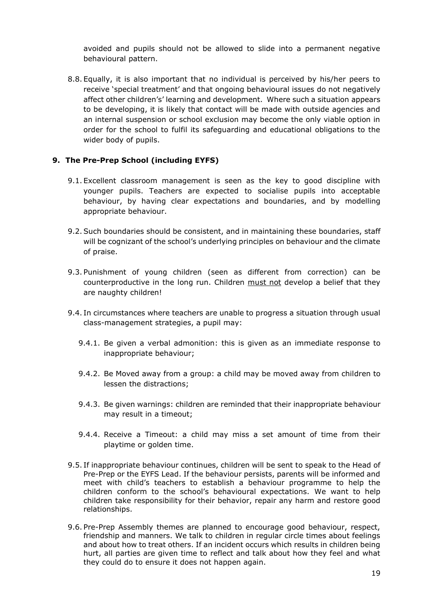avoided and pupils should not be allowed to slide into a permanent negative behavioural pattern.

8.8. Equally, it is also important that no individual is perceived by his/her peers to receive 'special treatment' and that ongoing behavioural issues do not negatively affect other children's' learning and development. Where such a situation appears to be developing, it is likely that contact will be made with outside agencies and an internal suspension or school exclusion may become the only viable option in order for the school to fulfil its safeguarding and educational obligations to the wider body of pupils.

#### **9. The Pre-Prep School (including EYFS)**

- 9.1. Excellent classroom management is seen as the key to good discipline with younger pupils. Teachers are expected to socialise pupils into acceptable behaviour, by having clear expectations and boundaries, and by modelling appropriate behaviour.
- 9.2.Such boundaries should be consistent, and in maintaining these boundaries, staff will be cognizant of the school's underlying principles on behaviour and the climate of praise.
- 9.3. Punishment of young children (seen as different from correction) can be counterproductive in the long run. Children must not develop a belief that they are naughty children!
- 9.4. In circumstances where teachers are unable to progress a situation through usual class-management strategies, a pupil may:
	- 9.4.1. Be given a verbal admonition: this is given as an immediate response to inappropriate behaviour;
	- 9.4.2. Be Moved away from a group: a child may be moved away from children to lessen the distractions;
	- 9.4.3. Be given warnings: children are reminded that their inappropriate behaviour may result in a timeout;
	- 9.4.4. Receive a Timeout: a child may miss a set amount of time from their playtime or golden time.
- 9.5. If inappropriate behaviour continues, children will be sent to speak to the Head of Pre-Prep or the EYFS Lead. If the behaviour persists, parents will be informed and meet with child's teachers to establish a behaviour programme to help the children conform to the school's behavioural expectations. We want to help children take responsibility for their behavior, repair any harm and restore good relationships.
- 9.6. Pre-Prep Assembly themes are planned to encourage good behaviour, respect, friendship and manners. We talk to children in regular circle times about feelings and about how to treat others. If an incident occurs which results in children being hurt, all parties are given time to reflect and talk about how they feel and what they could do to ensure it does not happen again.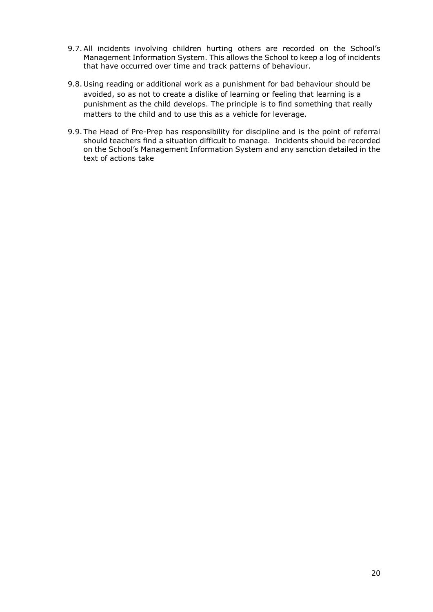- 9.7.All incidents involving children hurting others are recorded on the School's Management Information System. This allows the School to keep a log of incidents that have occurred over time and track patterns of behaviour.
- 9.8. Using reading or additional work as a punishment for bad behaviour should be avoided, so as not to create a dislike of learning or feeling that learning is a punishment as the child develops. The principle is to find something that really matters to the child and to use this as a vehicle for leverage.
- 9.9. The Head of Pre-Prep has responsibility for discipline and is the point of referral should teachers find a situation difficult to manage. Incidents should be recorded on the School's Management Information System and any sanction detailed in the text of actions take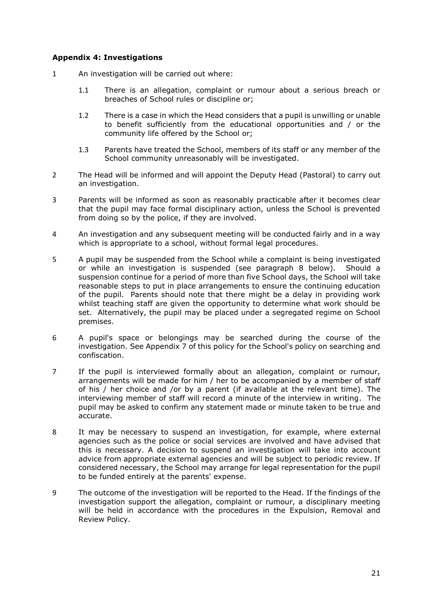#### **Appendix 4: Investigations**

- 1 An investigation will be carried out where:
	- 1.1 There is an allegation, complaint or rumour about a serious breach or breaches of School rules or discipline or;
	- 1.2 There is a case in which the Head considers that a pupil is unwilling or unable to benefit sufficiently from the educational opportunities and / or the community life offered by the School or;
	- 1.3 Parents have treated the School, members of its staff or any member of the School community unreasonably will be investigated.
- 2 The Head will be informed and will appoint the Deputy Head (Pastoral) to carry out an investigation.
- 3 Parents will be informed as soon as reasonably practicable after it becomes clear that the pupil may face formal disciplinary action, unless the School is prevented from doing so by the police, if they are involved.
- 4 An investigation and any subsequent meeting will be conducted fairly and in a way which is appropriate to a school, without formal legal procedures.
- 5 A pupil may be suspended from the School while a complaint is being investigated or while an investigation is suspended (see paragraph [8](#page-20-0) below). Should a suspension continue for a period of more than five School days, the School will take reasonable steps to put in place arrangements to ensure the continuing education of the pupil. Parents should note that there might be a delay in providing work whilst teaching staff are given the opportunity to determine what work should be set. Alternatively, the pupil may be placed under a segregated regime on School premises.
- 6 A pupil's space or belongings may be searched during the course of the investigation. See Appendix 7 of this policy for the School's policy on searching and confiscation.
- 7 If the pupil is interviewed formally about an allegation, complaint or rumour, arrangements will be made for him / her to be accompanied by a member of staff of his / her choice and /or by a parent (if available at the relevant time). The interviewing member of staff will record a minute of the interview in writing. The pupil may be asked to confirm any statement made or minute taken to be true and accurate.
- <span id="page-20-0"></span>8 It may be necessary to suspend an investigation, for example, where external agencies such as the police or social services are involved and have advised that this is necessary. A decision to suspend an investigation will take into account advice from appropriate external agencies and will be subject to periodic review. If considered necessary, the School may arrange for legal representation for the pupil to be funded entirely at the parents' expense.
- 9 The outcome of the investigation will be reported to the Head. If the findings of the investigation support the allegation, complaint or rumour, a disciplinary meeting will be held in accordance with the procedures in the Expulsion, Removal and Review Policy.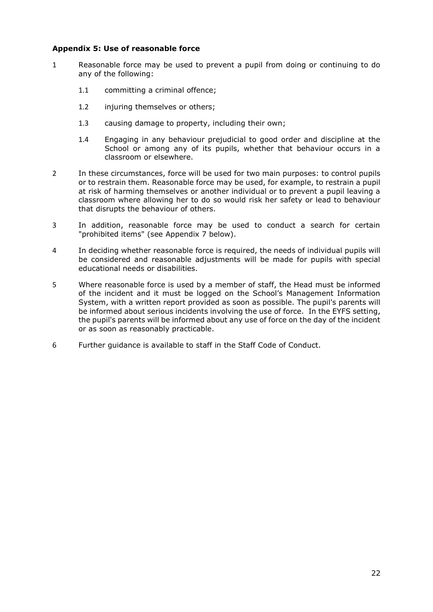#### **Appendix 5: Use of reasonable force**

- 1 Reasonable force may be used to prevent a pupil from doing or continuing to do any of the following:
	- 1.1 committing a criminal offence;
	- 1.2 injuring themselves or others;
	- 1.3 causing damage to property, including their own;
	- 1.4 Engaging in any behaviour prejudicial to good order and discipline at the School or among any of its pupils, whether that behaviour occurs in a classroom or elsewhere.
- 2 In these circumstances, force will be used for two main purposes: to control pupils or to restrain them. Reasonable force may be used, for example, to restrain a pupil at risk of harming themselves or another individual or to prevent a pupil leaving a classroom where allowing her to do so would risk her safety or lead to behaviour that disrupts the behaviour of others.
- 3 In addition, reasonable force may be used to conduct a search for certain "prohibited items" (see Appendix 7 below).
- 4 In deciding whether reasonable force is required, the needs of individual pupils will be considered and reasonable adjustments will be made for pupils with special educational needs or disabilities.
- 5 Where reasonable force is used by a member of staff, the Head must be informed of the incident and it must be logged on the School's Management Information System, with a written report provided as soon as possible. The pupil's parents will be informed about serious incidents involving the use of force. In the EYFS setting, the pupil's parents will be informed about any use of force on the day of the incident or as soon as reasonably practicable.
- 6 Further guidance is available to staff in the Staff Code of Conduct.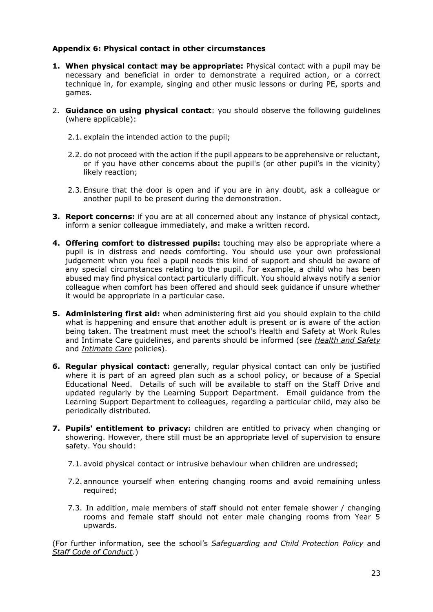#### **Appendix 6: Physical contact in other circumstances**

- **1. When physical contact may be appropriate:** Physical contact with a pupil may be necessary and beneficial in order to demonstrate a required action, or a correct technique in, for example, singing and other music lessons or during PE, sports and games.
- 2. **Guidance on using physical contact**: you should observe the following guidelines (where applicable):
	- 2.1. explain the intended action to the pupil;
	- 2.2. do not proceed with the action if the pupil appears to be apprehensive or reluctant, or if you have other concerns about the pupil's (or other pupil's in the vicinity) likely reaction;
	- 2.3. Ensure that the door is open and if you are in any doubt, ask a colleague or another pupil to be present during the demonstration.
- **3. Report concerns:** if you are at all concerned about any instance of physical contact, inform a senior colleague immediately, and make a written record.
- **4. Offering comfort to distressed pupils:** touching may also be appropriate where a pupil is in distress and needs comforting. You should use your own professional judgement when you feel a pupil needs this kind of support and should be aware of any special circumstances relating to the pupil. For example, a child who has been abused may find physical contact particularly difficult. You should always notify a senior colleague when comfort has been offered and should seek guidance if unsure whether it would be appropriate in a particular case.
- **5. Administering first aid:** when administering first aid you should explain to the child what is happening and ensure that another adult is present or is aware of the action being taken. The treatment must meet the school's Health and Safety at Work Rules and Intimate Care guidelines, and parents should be informed (see *Health and Safety* and *Intimate Care* policies).
- **6. Regular physical contact:** generally, regular physical contact can only be justified where it is part of an agreed plan such as a school policy, or because of a Special Educational Need. Details of such will be available to staff on the Staff Drive and updated regularly by the Learning Support Department. Email guidance from the Learning Support Department to colleagues, regarding a particular child, may also be periodically distributed.
- **7. Pupils' entitlement to privacy:** children are entitled to privacy when changing or showering. However, there still must be an appropriate level of supervision to ensure safety. You should:
	- 7.1. avoid physical contact or intrusive behaviour when children are undressed;
	- 7.2. announce yourself when entering changing rooms and avoid remaining unless required;
	- 7.3. In addition, male members of staff should not enter female shower / changing rooms and female staff should not enter male changing rooms from Year 5 upwards.

(For further information, see the school's *Safeguarding and Child Protection Policy* and *Staff Code of Conduct*.)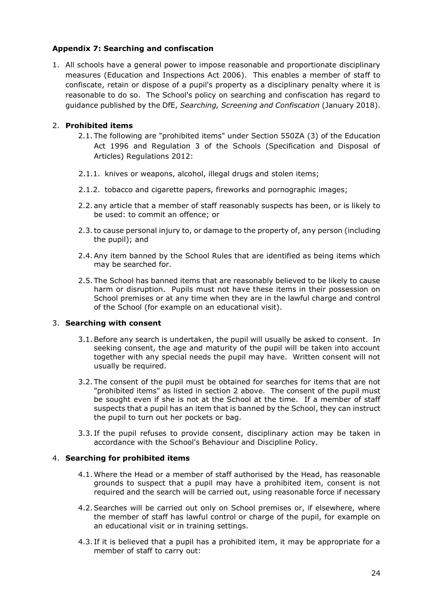# **Appendix 7: Searching and confiscation**

1. All schools have a general power to impose reasonable and proportionate disciplinary measures (Education and Inspections Act 2006). This enables a member of staff to confiscate, retain or dispose of a pupil's property as a disciplinary penalty where it is reasonable to do so. The School's policy on searching and confiscation has regard to guidance published by the DfE, *Searching, Screening and Confiscation* (January 2018).

# <span id="page-23-0"></span>2. **Prohibited items**

- 2.1. The following are "prohibited items" under Section 550ZA (3) of the Education Act 1996 and Regulation 3 of the Schools (Specification and Disposal of Articles) Regulations 2012:
- 2.1.1. knives or weapons, alcohol, illegal drugs and stolen items;
- 2.1.2. tobacco and cigarette papers, fireworks and pornographic images;
- 2.2. any article that a member of staff reasonably suspects has been, or is likely to be used: to commit an offence; or
- 2.3.to cause personal injury to, or damage to the property of, any person (including the pupil); and
- 2.4.Any item banned by the School Rules that are identified as being items which may be searched for.
- 2.5. The School has banned items that are reasonably believed to be likely to cause harm or disruption. Pupils must not have these items in their possession on School premises or at any time when they are in the lawful charge and control of the School (for example on an educational visit).

# 3. **Searching with consent**

- 3.1.Before any search is undertaken, the pupil will usually be asked to consent. In seeking consent, the age and maturity of the pupil will be taken into account together with any special needs the pupil may have. Written consent will not usually be required.
- 3.2. The consent of the pupil must be obtained for searches for items that are not "prohibited items" as listed in section [2](#page-23-0) above. The consent of the pupil must be sought even if she is not at the School at the time. If a member of staff suspects that a pupil has an item that is banned by the School, they can instruct the pupil to turn out her pockets or bag.
- 3.3. If the pupil refuses to provide consent, disciplinary action may be taken in accordance with the School's Behaviour and Discipline Policy.

#### 4. **Searching for prohibited items**

- 4.1. Where the Head or a member of staff authorised by the Head, has reasonable grounds to suspect that a pupil may have a prohibited item, consent is not required and the search will be carried out, using reasonable force if necessary
- 4.2.Searches will be carried out only on School premises or, if elsewhere, where the member of staff has lawful control or charge of the pupil, for example on an educational visit or in training settings.
- 4.3. If it is believed that a pupil has a prohibited item, it may be appropriate for a member of staff to carry out: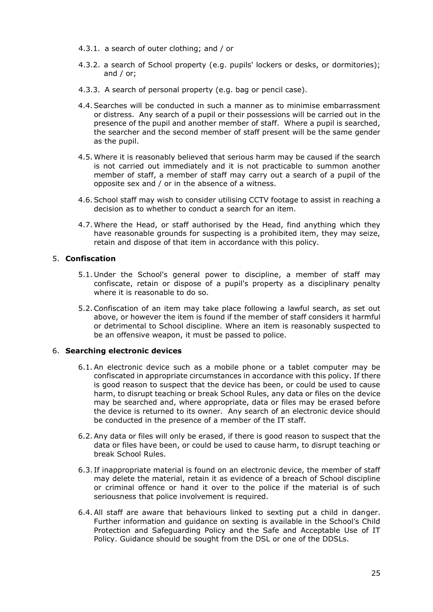- 4.3.1. a search of outer clothing; and / or
- 4.3.2. a search of School property (e.g. pupils' lockers or desks, or dormitories); and / or;
- 4.3.3. A search of personal property (e.g. bag or pencil case).
- 4.4.Searches will be conducted in such a manner as to minimise embarrassment or distress. Any search of a pupil or their possessions will be carried out in the presence of the pupil and another member of staff. Where a pupil is searched, the searcher and the second member of staff present will be the same gender as the pupil.
- 4.5. Where it is reasonably believed that serious harm may be caused if the search is not carried out immediately and it is not practicable to summon another member of staff, a member of staff may carry out a search of a pupil of the opposite sex and / or in the absence of a witness.
- 4.6.School staff may wish to consider utilising CCTV footage to assist in reaching a decision as to whether to conduct a search for an item.
- 4.7. Where the Head, or staff authorised by the Head, find anything which they have reasonable grounds for suspecting is a prohibited item, they may seize, retain and dispose of that item in accordance with this policy.

# 5. **Confiscation**

- 5.1. Under the School's general power to discipline, a member of staff may confiscate, retain or dispose of a pupil's property as a disciplinary penalty where it is reasonable to do so.
- 5.2.Confiscation of an item may take place following a lawful search, as set out above, or however the item is found if the member of staff considers it harmful or detrimental to School discipline. Where an item is reasonably suspected to be an offensive weapon, it must be passed to police.

#### 6. **Searching electronic devices**

- 6.1.An electronic device such as a mobile phone or a tablet computer may be confiscated in appropriate circumstances in accordance with this policy. If there is good reason to suspect that the device has been, or could be used to cause harm, to disrupt teaching or break School Rules, any data or files on the device may be searched and, where appropriate, data or files may be erased before the device is returned to its owner. Any search of an electronic device should be conducted in the presence of a member of the IT staff.
- 6.2.Any data or files will only be erased, if there is good reason to suspect that the data or files have been, or could be used to cause harm, to disrupt teaching or break School Rules.
- 6.3. If inappropriate material is found on an electronic device, the member of staff may delete the material, retain it as evidence of a breach of School discipline or criminal offence or hand it over to the police if the material is of such seriousness that police involvement is required.
- 6.4.All staff are aware that behaviours linked to sexting put a child in danger. Further information and guidance on sexting is available in the School's Child Protection and Safeguarding Policy and the Safe and Acceptable Use of IT Policy. Guidance should be sought from the DSL or one of the DDSLs.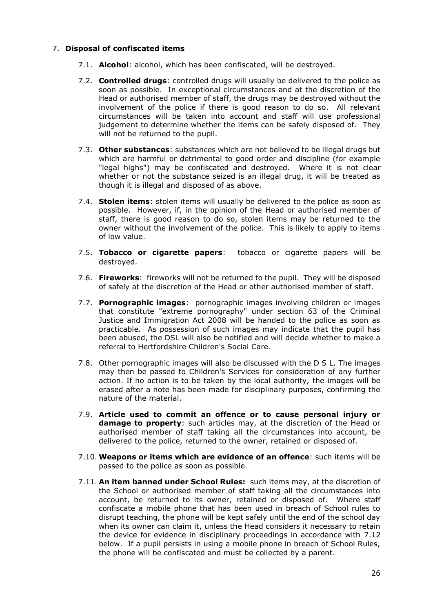#### 7. **Disposal of confiscated items**

- 7.1. **Alcohol**: alcohol, which has been confiscated, will be destroyed.
- 7.2. **Controlled drugs**: controlled drugs will usually be delivered to the police as soon as possible. In exceptional circumstances and at the discretion of the Head or authorised member of staff, the drugs may be destroyed without the involvement of the police if there is good reason to do so. All relevant circumstances will be taken into account and staff will use professional judgement to determine whether the items can be safely disposed of. They will not be returned to the pupil.
- 7.3. **Other substances**: substances which are not believed to be illegal drugs but which are harmful or detrimental to good order and discipline (for example "legal highs") may be confiscated and destroyed. Where it is not clear whether or not the substance seized is an illegal drug, it will be treated as though it is illegal and disposed of as above.
- 7.4. **Stolen items**: stolen items will usually be delivered to the police as soon as possible. However, if, in the opinion of the Head or authorised member of staff, there is good reason to do so, stolen items may be returned to the owner without the involvement of the police. This is likely to apply to items of low value.
- 7.5. **Tobacco or cigarette papers**: tobacco or cigarette papers will be destroyed.
- 7.6. **Fireworks**: fireworks will not be returned to the pupil. They will be disposed of safely at the discretion of the Head or other authorised member of staff.
- 7.7. **Pornographic images**: pornographic images involving children or images that constitute "extreme pornography" under section 63 of the Criminal Justice and Immigration Act 2008 will be handed to the police as soon as practicable. As possession of such images may indicate that the pupil has been abused, the DSL will also be notified and will decide whether to make a referral to Hertfordshire Children's Social Care.
- 7.8. Other pornographic images will also be discussed with the D S L. The images may then be passed to Children's Services for consideration of any further action. If no action is to be taken by the local authority, the images will be erased after a note has been made for disciplinary purposes, confirming the nature of the material.
- 7.9. **Article used to commit an offence or to cause personal injury or damage to property**: such articles may, at the discretion of the Head or authorised member of staff taking all the circumstances into account, be delivered to the police, returned to the owner, retained or disposed of.
- 7.10. **Weapons or items which are evidence of an offence**: such items will be passed to the police as soon as possible.
- 7.11. **An item banned under School Rules:** such items may, at the discretion of the School or authorised member of staff taking all the circumstances into account, be returned to its owner, retained or disposed of. Where staff confiscate a mobile phone that has been used in breach of School rules to disrupt teaching, the phone will be kept safely until the end of the school day when its owner can claim it, unless the Head considers it necessary to retain the device for evidence in disciplinary proceedings in accordance with [7.12](#page-26-0) below. If a pupil persists in using a mobile phone in breach of School Rules, the phone will be confiscated and must be collected by a parent.